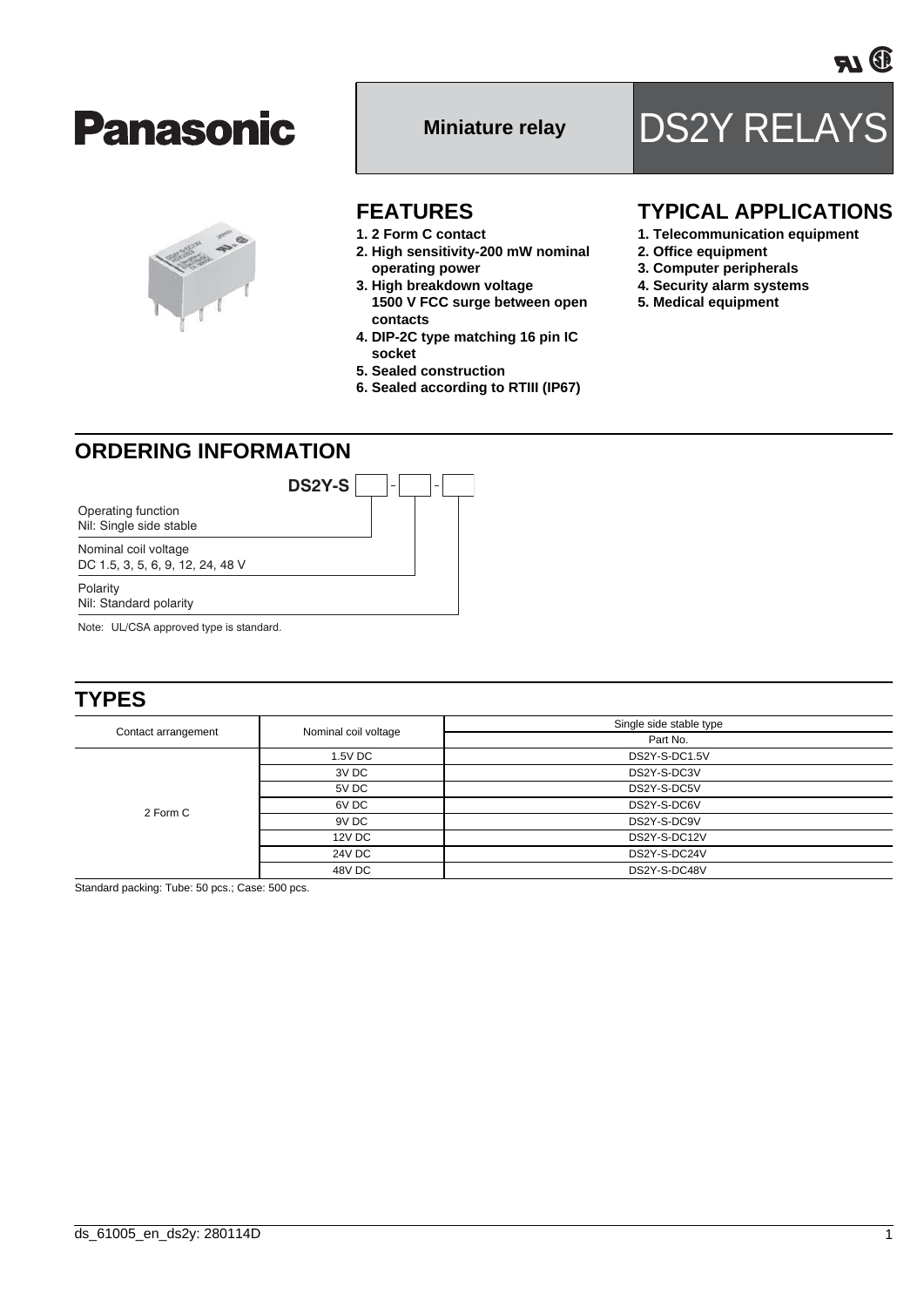#### **FEATURES**

- **1. 2 Form C contact**
- **2. High sensitivity-200 mW nominal operating power**
- **3. High breakdown voltage 1500 V FCC surge between open contacts**
- **4. DIP-2C type matching 16 pin IC socket**
- **5. Sealed construction**
- **6. Sealed according to RTIII (IP67)**

### **TYPICAL APPLICATIONS**

- **1. Telecommunication equipment**
- **2. Office equipment**
- **3. Computer peripherals**
- **4. Security alarm systems**
- **5. Medical equipment**

# **ORDERING INFORMATION**

**DS2Y-S**

Operating function Nil: Single side stable

Nominal coil voltage DC 1.5, 3, 5, 6, 9, 12, 24, 48 V

Polarity

Nil: Standard polarity

Note: UL/CSA approved type is standard.

### **TYPES**

| Contact arrangement | Nominal coil voltage | Single side stable type |  |  |
|---------------------|----------------------|-------------------------|--|--|
|                     |                      | Part No.                |  |  |
| 2 Form C            | 1.5V DC              | DS2Y-S-DC1.5V           |  |  |
|                     | 3V DC                | DS2Y-S-DC3V             |  |  |
|                     | 5V DC                | DS2Y-S-DC5V             |  |  |
|                     | 6V DC                | DS2Y-S-DC6V             |  |  |
|                     | 9V DC                | DS2Y-S-DC9V             |  |  |
|                     | 12V DC               | DS2Y-S-DC12V            |  |  |
|                     | <b>24V DC</b>        | DS2Y-S-DC24V            |  |  |
|                     | 48V DC               | DS2Y-S-DC48V            |  |  |

Standard packing: Tube: 50 pcs.; Case: 500 pcs.





**Panasonic** 

Miniature relay **DS2Y RELAYS**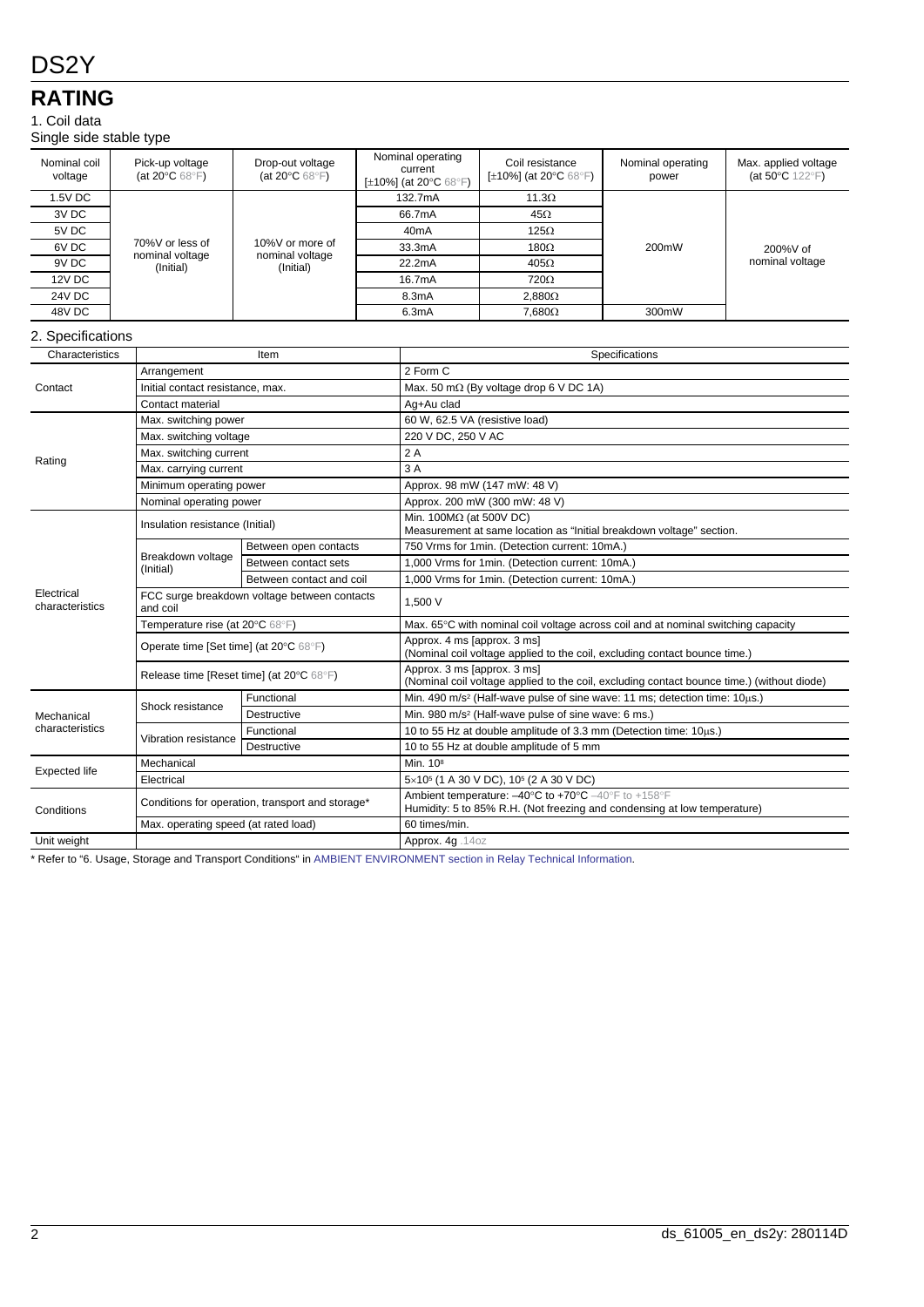## **RATING**

#### 1. Coil data

Single side stable type

|                               | יו לי                                                         |                                                                           |                              |                                                                                                                                                                         |                                                                                                         |                   |                                                   |  |  |
|-------------------------------|---------------------------------------------------------------|---------------------------------------------------------------------------|------------------------------|-------------------------------------------------------------------------------------------------------------------------------------------------------------------------|---------------------------------------------------------------------------------------------------------|-------------------|---------------------------------------------------|--|--|
| Nominal coil<br>voltage       | Pick-up voltage<br>(at 20 $\rm ^{\circ}C$ 68 $\rm ^{\circ}F)$ | Drop-out voltage<br>(at 20 $\mathrm{^{\circ}C}$ 68 $\mathrm{^{\circ}F}$ ) | Nominal operating<br>current |                                                                                                                                                                         | Coil resistance<br>[ $\pm$ 10%] (at 20 $^{\circ}$ C 68 $^{\circ}$ F)                                    | Nominal operating | Max. applied voltage<br>(at $50^{\circ}$ C 122°F) |  |  |
|                               |                                                               |                                                                           |                              | [±10%] (at 20°C 68°F)                                                                                                                                                   |                                                                                                         | power             |                                                   |  |  |
| 1.5V DC                       |                                                               | 10%V or more of<br>nominal voltage<br>(Initial)                           | 132.7mA                      |                                                                                                                                                                         | $11.3\Omega$                                                                                            | 200mW             | 200%V of<br>nominal voltage                       |  |  |
| 3V DC                         |                                                               |                                                                           | 66.7mA                       |                                                                                                                                                                         | $45\Omega$                                                                                              |                   |                                                   |  |  |
| 5V DC                         |                                                               |                                                                           | 40 <sub>m</sub> A            |                                                                                                                                                                         | $125\Omega$                                                                                             |                   |                                                   |  |  |
| 6V <sub>DC</sub>              | 70%V or less of                                               |                                                                           | 33.3mA                       |                                                                                                                                                                         | 180 $\Omega$                                                                                            |                   |                                                   |  |  |
| 9V DC                         | nominal voltage<br>(Initial)                                  |                                                                           | 22.2mA                       |                                                                                                                                                                         | $405\Omega$                                                                                             |                   |                                                   |  |  |
| 12V DC                        |                                                               |                                                                           |                              | 16.7mA                                                                                                                                                                  | 720Ω                                                                                                    |                   |                                                   |  |  |
| <b>24V DC</b>                 |                                                               |                                                                           | 8.3mA                        |                                                                                                                                                                         | $2,880\Omega$                                                                                           |                   |                                                   |  |  |
| 48V DC                        |                                                               |                                                                           | 6.3mA                        |                                                                                                                                                                         | $7,680\Omega$                                                                                           | 300mW             |                                                   |  |  |
| 2. Specifications             |                                                               |                                                                           |                              |                                                                                                                                                                         |                                                                                                         |                   |                                                   |  |  |
| Characteristics               |                                                               | Item                                                                      |                              | Specifications                                                                                                                                                          |                                                                                                         |                   |                                                   |  |  |
|                               | Arrangement                                                   |                                                                           |                              |                                                                                                                                                                         | 2 Form C                                                                                                |                   |                                                   |  |  |
| Contact                       |                                                               | Initial contact resistance, max.                                          |                              |                                                                                                                                                                         | Max. 50 m $\Omega$ (By voltage drop 6 V DC 1A)                                                          |                   |                                                   |  |  |
|                               | Contact material                                              |                                                                           |                              |                                                                                                                                                                         | Ag+Au clad                                                                                              |                   |                                                   |  |  |
|                               | Max. switching power                                          |                                                                           |                              | 60 W, 62.5 VA (resistive load)                                                                                                                                          |                                                                                                         |                   |                                                   |  |  |
|                               |                                                               | Max. switching voltage                                                    |                              |                                                                                                                                                                         | 220 V DC, 250 V AC                                                                                      |                   |                                                   |  |  |
|                               |                                                               | Max. switching current                                                    |                              |                                                                                                                                                                         | 2A                                                                                                      |                   |                                                   |  |  |
| Rating                        |                                                               | Max. carrying current                                                     |                              |                                                                                                                                                                         | 3A                                                                                                      |                   |                                                   |  |  |
|                               |                                                               | Minimum operating power                                                   |                              |                                                                                                                                                                         | Approx. 98 mW (147 mW: 48 V)                                                                            |                   |                                                   |  |  |
|                               | Nominal operating power                                       |                                                                           |                              | Approx. 200 mW (300 mW: 48 V)                                                                                                                                           |                                                                                                         |                   |                                                   |  |  |
|                               |                                                               | Insulation resistance (Initial)                                           |                              |                                                                                                                                                                         | Min. 100 $M\Omega$ (at 500V DC)<br>Measurement at same location as "Initial breakdown voltage" section. |                   |                                                   |  |  |
|                               |                                                               | Between open contacts                                                     |                              | 750 Vrms for 1min. (Detection current: 10mA.)                                                                                                                           |                                                                                                         |                   |                                                   |  |  |
|                               | Breakdown voltage                                             | Between contact sets                                                      |                              | 1,000 Vrms for 1min. (Detection current: 10mA.)                                                                                                                         |                                                                                                         |                   |                                                   |  |  |
| Electrical<br>characteristics | (Initial)                                                     | Between contact and coil                                                  |                              |                                                                                                                                                                         | 1,000 Vrms for 1 min. (Detection current: 10 mA.)                                                       |                   |                                                   |  |  |
|                               | and coil                                                      | FCC surge breakdown voltage between contacts                              |                              |                                                                                                                                                                         | 1.500 V                                                                                                 |                   |                                                   |  |  |
|                               |                                                               | Temperature rise (at 20°C 68°F)                                           |                              |                                                                                                                                                                         | Max. 65°C with nominal coil voltage across coil and at nominal switching capacity                       |                   |                                                   |  |  |
|                               | Operate time [Set time] (at 20°C 68°F)                        |                                                                           |                              | Approx. 4 ms [approx. 3 ms]<br>(Nominal coil voltage applied to the coil, excluding contact bounce time.)                                                               |                                                                                                         |                   |                                                   |  |  |
|                               | Release time [Reset time] (at 20°C 68°F)                      |                                                                           |                              | Approx. 3 ms [approx. 3 ms]<br>(Nominal coil voltage applied to the coil, excluding contact bounce time.) (without diode)                                               |                                                                                                         |                   |                                                   |  |  |
| Mechanical<br>characteristics |                                                               | Functional                                                                |                              | Min. 490 m/s <sup>2</sup> (Half-wave pulse of sine wave: 11 ms; detection time: 10us.)                                                                                  |                                                                                                         |                   |                                                   |  |  |
|                               | Shock resistance                                              | Destructive                                                               |                              | Min. 980 m/s <sup>2</sup> (Half-wave pulse of sine wave: 6 ms.)                                                                                                         |                                                                                                         |                   |                                                   |  |  |
|                               |                                                               | Functional                                                                |                              | 10 to 55 Hz at double amplitude of 3.3 mm (Detection time: 10µs.)                                                                                                       |                                                                                                         |                   |                                                   |  |  |
|                               | Vibration resistance                                          | Destructive                                                               |                              |                                                                                                                                                                         | 10 to 55 Hz at double amplitude of 5 mm                                                                 |                   |                                                   |  |  |
| <b>Expected life</b>          | Mechanical                                                    |                                                                           |                              | Min. 10 <sup>8</sup>                                                                                                                                                    |                                                                                                         |                   |                                                   |  |  |
|                               | Electrical                                                    |                                                                           |                              | $5\times10^{5}$ (1 A 30 V DC), 10 <sup>5</sup> (2 A 30 V DC)                                                                                                            |                                                                                                         |                   |                                                   |  |  |
| Conditions                    | Conditions for operation, transport and storage*              |                                                                           |                              | Ambient temperature: $-40^{\circ}$ C to $+70^{\circ}$ C $-40^{\circ}$ F to $+158^{\circ}$ F<br>Humidity: 5 to 85% R.H. (Not freezing and condensing at low temperature) |                                                                                                         |                   |                                                   |  |  |
|                               | Max. operating speed (at rated load)                          |                                                                           |                              | 60 times/min.                                                                                                                                                           |                                                                                                         |                   |                                                   |  |  |
| Unit weight                   |                                                               |                                                                           |                              | Approx. 4g. 14oz                                                                                                                                                        |                                                                                                         |                   |                                                   |  |  |

\* Refer to "6. Usage, Storage and Transport Conditions" in [AMBIENT ENVIRONMENT section in Relay Technical Information](http://www.panasonic-electric-works.com/peweu/en/downloads/ds_x61_en_relay_technical_information.pdf).